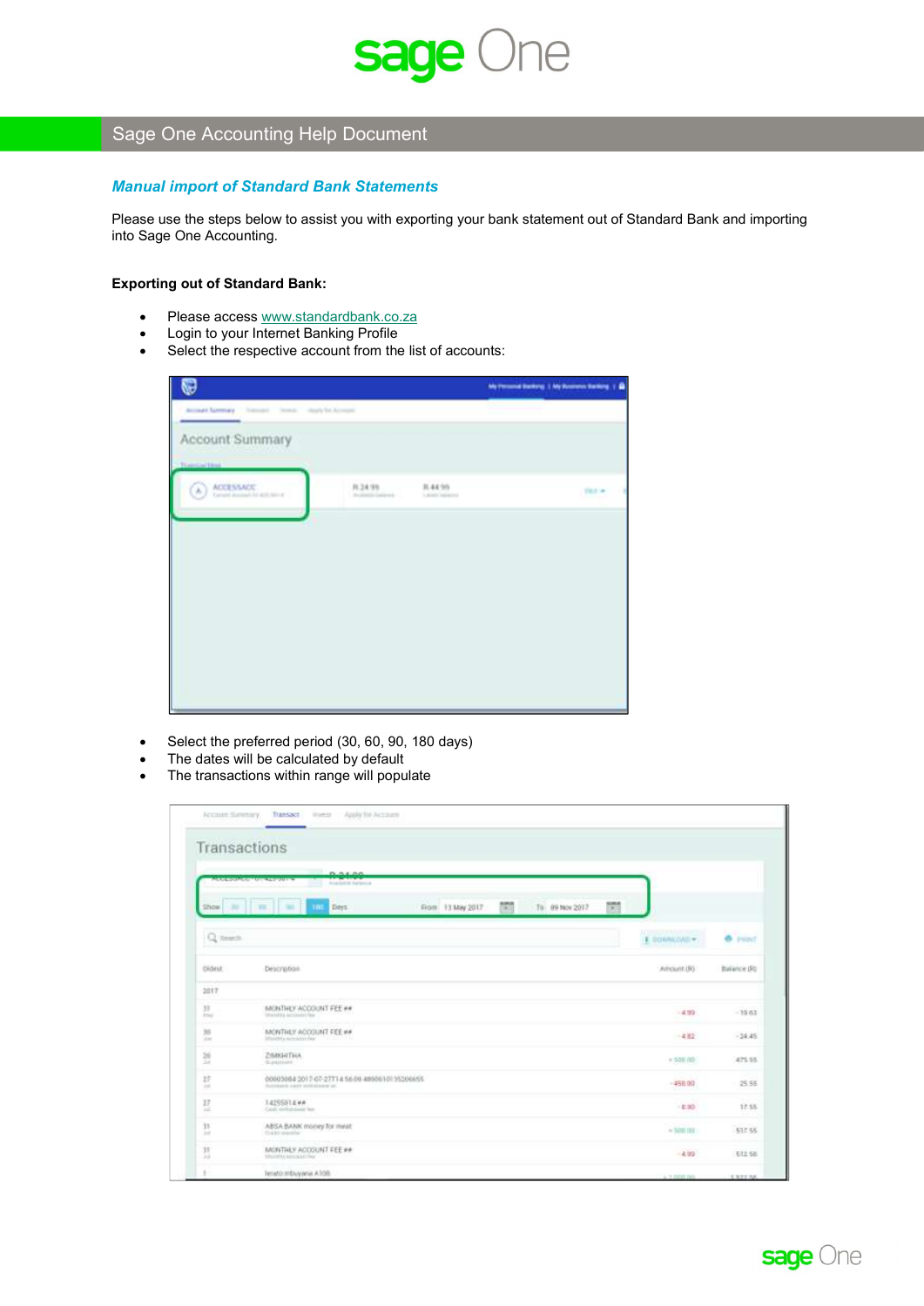

# Sage One Accounting Help Document

## Manual import of Standard Bank Statements

Please use the steps below to assist you with exporting your bank statement out of Standard Bank and importing into Sage One Accounting.

### Exporting out of Standard Bank:

- Please access www.standardbank.co.za
- Login to your Internet Banking Profile
- Select the respective account from the list of accounts:

|                                                        |                                  |                             | My record belong 1 My Bosness Belley |  |
|--------------------------------------------------------|----------------------------------|-----------------------------|--------------------------------------|--|
| Account Sammary - Insecond - Immor - Joseph by Account |                                  |                             |                                      |  |
| Account Summary                                        |                                  |                             |                                      |  |
| Thompson Head                                          |                                  |                             |                                      |  |
| ACCESSACE<br>Since Accel Distribute<br>$(\lambda)$     | 8.34.93.<br>Automobile Continues | 31.44.99<br>Labels Separate | <b>Part #</b>                        |  |
|                                                        |                                  |                             |                                      |  |
|                                                        |                                  |                             |                                      |  |
|                                                        |                                  |                             |                                      |  |
|                                                        |                                  |                             |                                      |  |
|                                                        |                                  |                             |                                      |  |
|                                                        |                                  |                             |                                      |  |
|                                                        |                                  |                             |                                      |  |
|                                                        |                                  |                             |                                      |  |

- Select the preferred period (30, 60, 90, 180 days)
- The dates will be calculated by default<br>• The transactions within range will popul
- The transactions within range will populate

|                    | <b>PLACEMA</b><br><b>COLORADO COM DE TEMPLOS</b><br><b>Folder's believed</b>        |                                |               |
|--------------------|-------------------------------------------------------------------------------------|--------------------------------|---------------|
| Show 10            | 節<br>謂<br>III: Days<br>1.901<br>Rom 13 May 2017<br>To 09 Nov 2017<br><b>TEST</b>    |                                |               |
| Q teach            |                                                                                     | <b>MINGSTRUM</b><br>E DOMINOAD | <b>6</b> PENT |
| <b>Didest</b>      | Description                                                                         | Amount (R)                     | Balance (Rt)  |
| 2017               |                                                                                     |                                |               |
| m<br><b>ESSAY</b>  | MONTHLY ACCOUNT FEE ##<br>Mainley Architecture                                      | $-4.70$                        | $-39.63$      |
| 35<br>11m          | MONTHLY ACCOUNT FEE ##<br>Ministria surgistivities: 1997                            | $-4.82$                        | $-24.45$      |
| $\geq$<br>m        | ZIMKHITHA<br><b>CLEANING</b>                                                        | $+ 330,00$                     | 475.55        |
| 17<br><b>Sept.</b> | 00003084 2017 07:27TT4 56 09 4890610135206655<br>Automated a girl scribal paral un- | $-450.90$                      | 25.95         |
| 27<br>÷            | T4255514 ##<br>Castle services possible here                                        | $-0.30$                        | 17.55         |
| 33<br>m            | ABSA BANK money for meat.<br>Standard constitution."                                | $= 3.00.001$                   | 517.55        |
| 33<br>33           | MONTHLY ACCOUNT FEE ##<br>Mustrix are scientists (11) 11-11                         | $-4,00$                        | 512.58        |
| $\mathbb{R}$       | Telató Inbuyeria A106                                                               |                                |               |

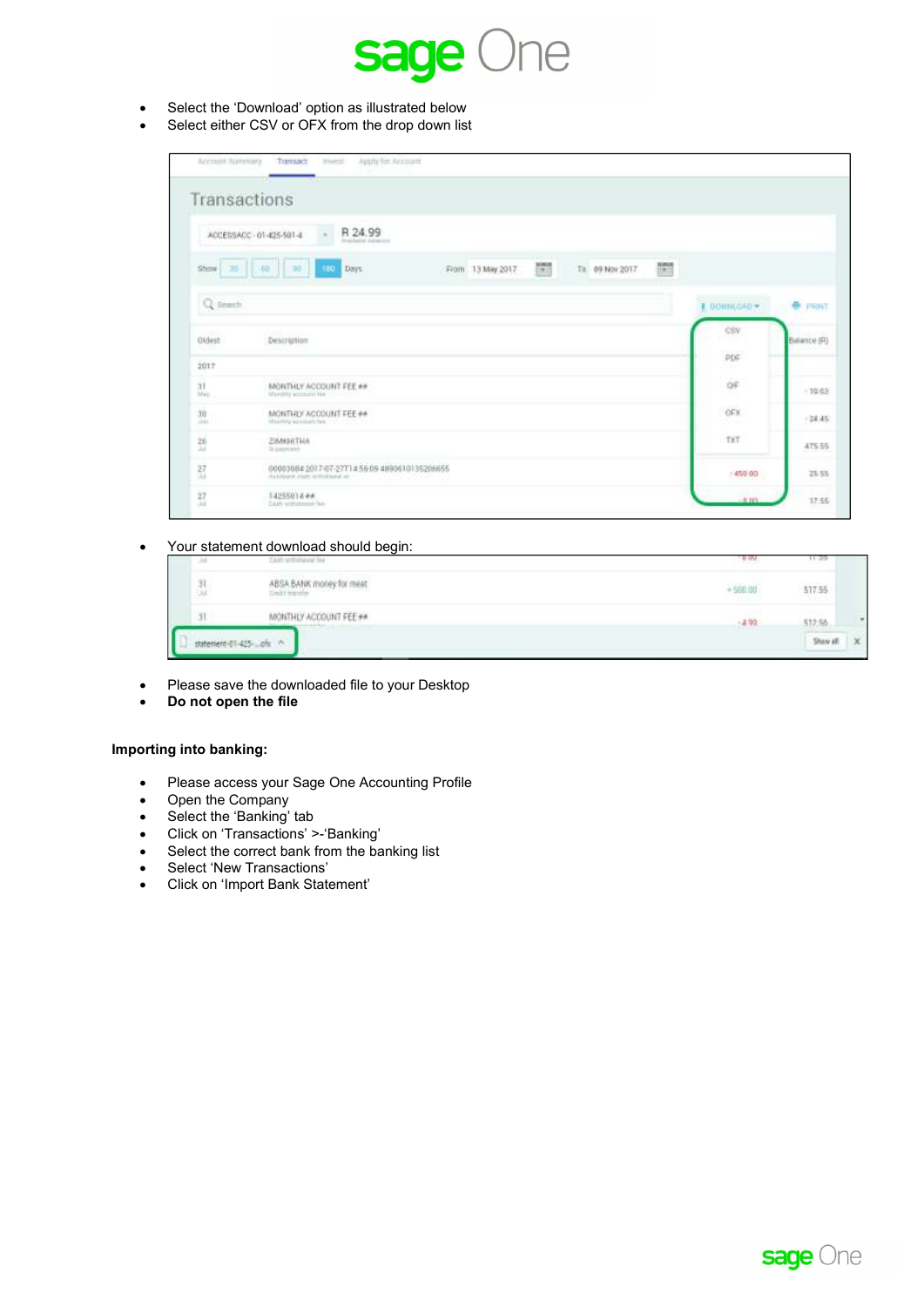

- Select the 'Download' option as illustrated below
- Select either CSV or OFX from the drop down list

|              | Transactions                                                           |             |              |
|--------------|------------------------------------------------------------------------|-------------|--------------|
|              | R 24.99<br>ACCESSACC - 01-425-501-4<br><b>CO</b>                       |             |              |
|              | three-field and dealerships                                            |             |              |
|              | Show 30 00 00 100 Days<br>圖<br>篇<br>To 09 Nov 2017<br>From 13 May 2017 |             |              |
| Q-temth      |                                                                        | DOWNLOAD =  | e past       |
| Oldest<br>xa | Description                                                            | CSV         | Ballance (R) |
| 2017         |                                                                        | PDF<br>Zul. |              |
| 31<br>Max    | MONTHLY ACCOUNT FEE ##<br>Maximiz account the Council                  | άř<br>- 12  | $-70.65$     |
|              | MONTHLY ACCOUNT FEE ##<br>Informity accounts for the Control           | <b>OFX</b>  | $+24.45$     |
| 30<br>13.01  |                                                                        |             |              |
| 26<br>31     | ZIMMATTAA<br>lic journant.                                             | TKT         | 475.55       |

#### Your statement download should begin:

| ſ |   | statement-01-425 of a                                            |                 | Show all | × |
|---|---|------------------------------------------------------------------|-----------------|----------|---|
|   |   | MONTHLY ACCOUNT FEE ##                                           | $-3.90$         | 512.56   |   |
|   | × | ABSA BANK money for meat<br><b>COLES IN ORIGINAL</b><br>all care | - 500 0<br>---- | 517.55   |   |
|   | - |                                                                  | ರವರ             | $-1000$  |   |

- Please save the downloaded file to your Desktop
- Do not open the file

### Importing into banking:

- Please access your Sage One Accounting Profile
- Open the Company
- Select the 'Banking' tab
- Click on 'Transactions' >-'Banking'
- Select the correct bank from the banking list
- Select 'New Transactions'
- Click on 'Import Bank Statement'